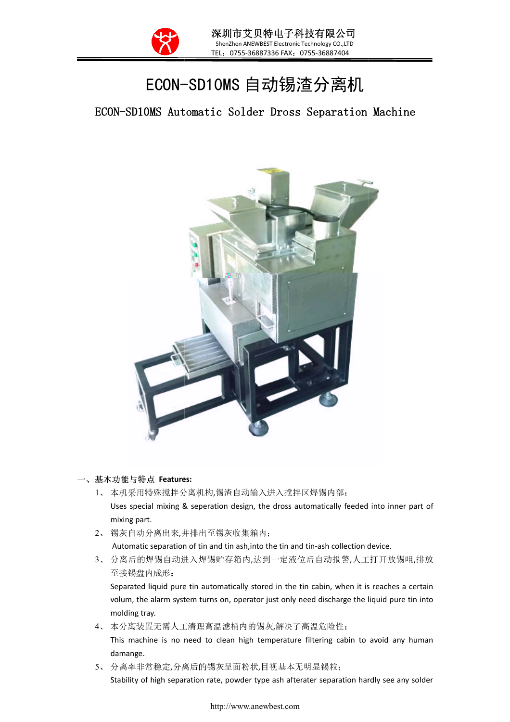

Ξ

## ECON--SD10MS 自动锡渣分离机

ECON-SD10MS Automatic Solder Dross Separation Machine SD10MS Machine



## 一、 基本功能与特点 **Features:**

- 1、 本机采用特殊搅拌分离机构 ,锡渣自动输入进入搅拌区焊锡内部; Uses special mixing & seperation design, the dross automatically feeded into inner part of mixing part.
- 2、 锡灰自动分离出来,并排出至锡灰收集箱内 并排出至锡灰收集箱内; Automatic separation of tin and tin ash, into the tin and tin-ash collection device.
- Automatic separation of tin and tin ash,into the tin and tin-ash collection device.<br>3、 分离后的焊锡自动进入焊锡贮存箱内,达到一定液位后自动报警,人工打开放锡咀,排放 至接锡盘内成形;

Separated liquid pure tin automatically stored in the tin cabin, when it is reaches a certain volum, the alarm system turns on, operator just only need discharge the liquid pure tin into molding tray.

4、 本分离装置无需人工清理高温滤桶内的锡灰 ,解决了高温危险性;

This machine is no need to clean high temperature filtering cabin to avoid any human damange.

5、 分离率非常稳定,分离后的锡灰呈面粉状 ,目视基本无明显锡粒;

Stability of high separation rate, powder type ash afterater separation hardly see any solder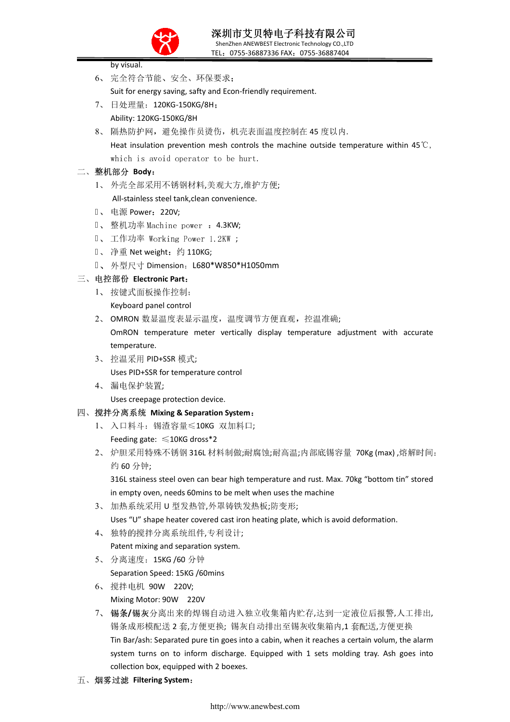

深圳市艾贝特电子科技有限公司 ShenZhen ANEWBEST Electronic Technology CO.,LTD TEL:0755-36887336 FAX:0755-36887404

|    |                | by visual.                                                                                      |
|----|----------------|-------------------------------------------------------------------------------------------------|
|    |                | 6、完全符合节能、安全、环保要求;                                                                               |
|    |                | Suit for energy saving, safty and Econ-friendly requirement.                                    |
|    | $7_{\sim}$     | 日处理量: 120KG-150KG/8H;                                                                           |
|    |                | Ability: 120KG-150KG/8H                                                                         |
|    | 8 <sub>1</sub> | 隔热防护网,避免操作员烫伤,机壳表面温度控制在 45 度以内.                                                                 |
|    |                | Heat insulation prevention mesh controls the machine outside temperature within 45 $\degree$ C, |
|    |                | which is avoid operator to be hurt.                                                             |
|    |                | 二、整机部分 Body:                                                                                    |
|    | $1_{\infty}$   | 外壳全部采用不锈钢材料,美观大方,维护方便;                                                                          |
|    |                | All-stainless steel tank, clean convenience.                                                    |
|    | $2 -$          | 电源 Power: 220V;                                                                                 |
|    | $3\sqrt{2}$    | 整机功率 Machine power : 4.3KW;                                                                     |
|    | $4\sqrt{ }$    | - 工作功率 Working Power 1.2KW ;                                                                    |
|    |                | 5、 净重 Net weight: 约 110KG;                                                                      |
|    |                | 6、外型尺寸 Dimension: L680*W850*H1050mm                                                             |
| 三、 |                | 电控部份 Electronic Part:                                                                           |
|    | 1              | 按键式面板操作控制;                                                                                      |
|    |                | Keyboard panel control                                                                          |
|    |                | 2、 OMRON 数显温度表显示温度, 温度调节方便直观, 控温准确;                                                             |
|    |                | OmRON temperature meter vertically display temperature adjustment with accurate                 |
|    |                | temperature.                                                                                    |
|    |                | 3、 控温采用 PID+SSR 模式;                                                                             |
|    |                | Uses PID+SSR for temperature control                                                            |
|    |                | 4、漏电保护装置;                                                                                       |
|    |                | Uses creepage protection device.                                                                |
| 四、 |                | 搅拌分离系统 Mixing & Separation System:                                                              |
|    |                | 1、入口料斗: 锡渣容量≤10KG 双加料口;                                                                         |
|    |                | Feeding gate: $\leq 10$ KG dross*2                                                              |
|    | $2\sqrt{ }$    | 炉胆采用特殊不锈钢 316L 材料制做;耐腐蚀;耐高温;内部底锡容量 70Kg (max),熔解时间:                                             |
|    |                | 约60分钟;                                                                                          |
|    |                | 316L stainess steel oven can bear high temperature and rust. Max. 70kg "bottom tin" stored      |
|    |                | in empty oven, needs 60mins to be melt when uses the machine                                    |
|    | 3 <sub>1</sub> | 加热系统采用 U 型发热管,外罩铸铁发热板;防变形;                                                                      |
|    |                | Uses "U" shape heater covered cast iron heating plate, which is avoid deformation.              |
|    | 4.             | 独特的搅拌分离系统组件,专利设计;                                                                               |
|    |                | Patent mixing and separation system.                                                            |
|    | 5 <sub>1</sub> | 分离速度: 15KG /60 分钟                                                                               |
|    |                | Separation Speed: 15KG /60mins                                                                  |
|    |                | 6、 搅拌电机 90W                                                                                     |
|    |                | 220V;                                                                                           |
|    |                | Mixing Motor: 90W 220V                                                                          |
|    | $7\sim$        | 锡条/锡灰分离出来的焊锡自动进入独立收集箱内贮存,达到一定液位后报警,人工排出,                                                        |

锡条成形模配送 2 套 ,方便更换; 锡灰自动排出至锡灰收集箱内,1 套配送 ,方便更换 Tin Bar/ash: Separated pure tin goes into a cabin, when it reaches a certain volum, the alarm system turns on to inform discharge. Equipped with 1 sets molding tray. Ash goes into collection box, equipped with 2 boexes.

五、 烟雾过滤 **Filtering System** :